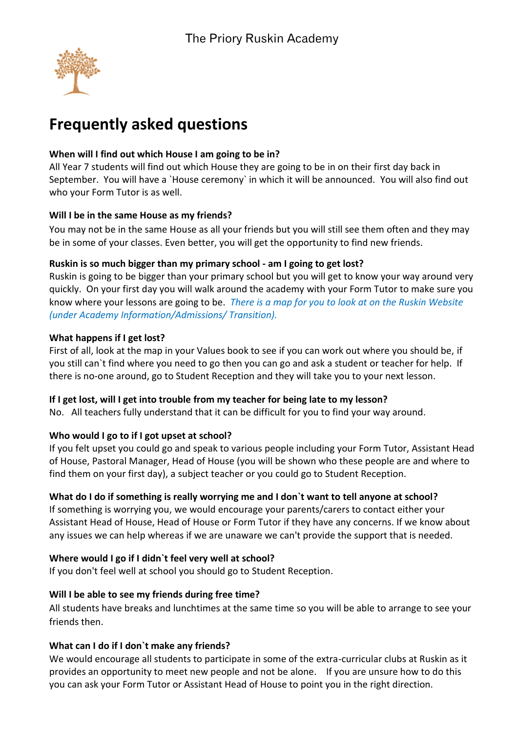

# **Frequently asked questions**

## **When will I find out which House I am going to be in?**

All Year 7 students will find out which House they are going to be in on their first day back in September. You will have a `House ceremony` in which it will be announced. You will also find out who your Form Tutor is as well.

#### **Will I be in the same House as my friends?**

You may not be in the same House as all your friends but you will still see them often and they may be in some of your classes. Even better, you will get the opportunity to find new friends.

## **Ruskin is so much bigger than my primary school - am I going to get lost?**

Ruskin is going to be bigger than your primary school but you will get to know your way around very quickly. On your first day you will walk around the academy with your Form Tutor to make sure you know where your lessons are going to be. *There is a map for you to look at on the Ruskin Website (under Academy Information/Admissions/ Transition).* 

## **What happens if I get lost?**

First of all, look at the map in your Values book to see if you can work out where you should be, if you still can`t find where you need to go then you can go and ask a student or teacher for help. If there is no-one around, go to Student Reception and they will take you to your next lesson.

#### **If I get lost, will I get into trouble from my teacher for being late to my lesson?**

No. All teachers fully understand that it can be difficult for you to find your way around.

# **Who would I go to if I got upset at school?**

If you felt upset you could go and speak to various people including your Form Tutor, Assistant Head of House, Pastoral Manager, Head of House (you will be shown who these people are and where to find them on your first day), a subject teacher or you could go to Student Reception.

# **What do I do if something is really worrying me and I don`t want to tell anyone at school?**

If something is worrying you, we would encourage your parents/carers to contact either your Assistant Head of House, Head of House or Form Tutor if they have any concerns. If we know about any issues we can help whereas if we are unaware we can't provide the support that is needed.

#### **Where would I go if I didn`t feel very well at school?**

If you don't feel well at school you should go to Student Reception.

#### **Will I be able to see my friends during free time?**

All students have breaks and lunchtimes at the same time so you will be able to arrange to see your friends then.

# **What can I do if I don`t make any friends?**

We would encourage all students to participate in some of the extra-curricular clubs at Ruskin as it provides an opportunity to meet new people and not be alone. If you are unsure how to do this you can ask your Form Tutor or Assistant Head of House to point you in the right direction.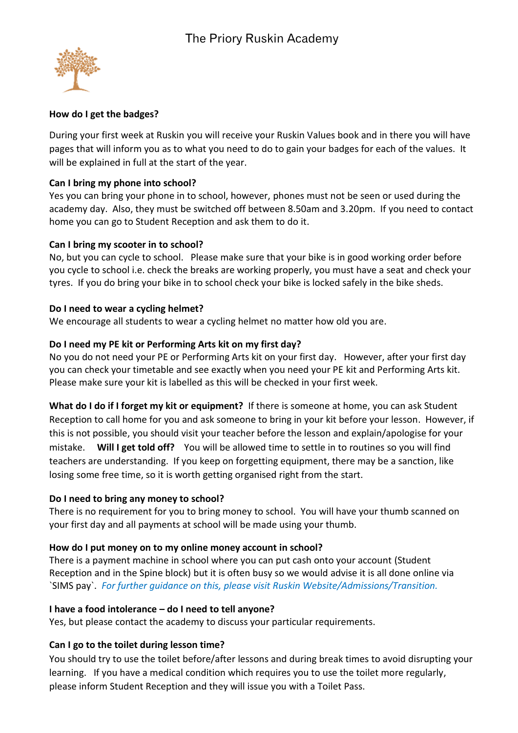

#### **How do I get the badges?**

During your first week at Ruskin you will receive your Ruskin Values book and in there you will have pages that will inform you as to what you need to do to gain your badges for each of the values. It will be explained in full at the start of the year.

## **Can I bring my phone into school?**

Yes you can bring your phone in to school, however, phones must not be seen or used during the academy day. Also, they must be switched off between 8.50am and 3.20pm. If you need to contact home you can go to Student Reception and ask them to do it.

## **Can I bring my scooter in to school?**

No, but you can cycle to school. Please make sure that your bike is in good working order before you cycle to school i.e. check the breaks are working properly, you must have a seat and check your tyres. If you do bring your bike in to school check your bike is locked safely in the bike sheds.

## **Do I need to wear a cycling helmet?**

We encourage all students to wear a cycling helmet no matter how old you are.

## **Do I need my PE kit or Performing Arts kit on my first day?**

No you do not need your PE or Performing Arts kit on your first day. However, after your first day you can check your timetable and see exactly when you need your PE kit and Performing Arts kit. Please make sure your kit is labelled as this will be checked in your first week.

**What do I do if I forget my kit or equipment?** If there is someone at home, you can ask Student Reception to call home for you and ask someone to bring in your kit before your lesson. However, if this is not possible, you should visit your teacher before the lesson and explain/apologise for your mistake. **Will I get told off?** You will be allowed time to settle in to routines so you will find teachers are understanding. If you keep on forgetting equipment, there may be a sanction, like losing some free time, so it is worth getting organised right from the start.

# **Do I need to bring any money to school?**

There is no requirement for you to bring money to school. You will have your thumb scanned on your first day and all payments at school will be made using your thumb.

# **How do I put money on to my online money account in school?**

There is a payment machine in school where you can put cash onto your account (Student Reception and in the Spine block) but it is often busy so we would advise it is all done online via `SIMS pay`. *For further guidance on this, please visit Ruskin Website/Admissions/Transition.* 

# **I have a food intolerance – do I need to tell anyone?**

Yes, but please contact the academy to discuss your particular requirements.

# **Can I go to the toilet during lesson time?**

You should try to use the toilet before/after lessons and during break times to avoid disrupting your learning. If you have a medical condition which requires you to use the toilet more regularly, please inform Student Reception and they will issue you with a Toilet Pass.